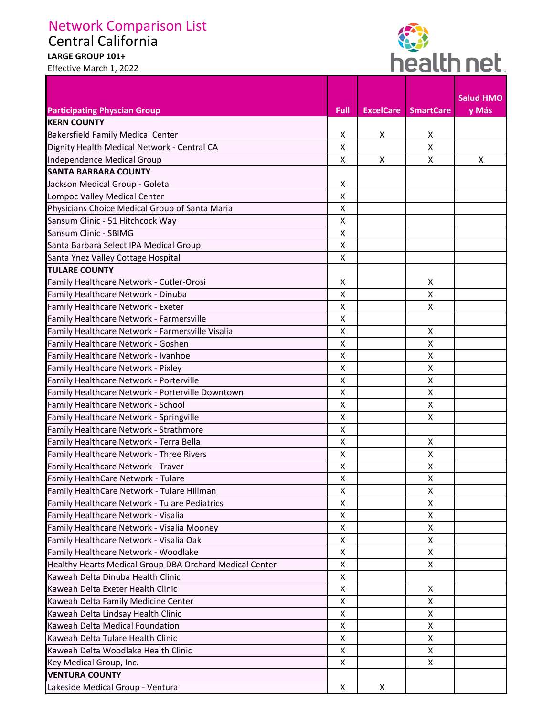## Network Comparison List

Central California

## **LARGE GROUP 101+**  Effective March 1, 2022

Г



| <b>Participating Physcian Group</b>                     | <b>Full</b>        | <b>ExcelCare</b> | <b>SmartCare</b> | <b>Salud HMO</b><br>y Más |
|---------------------------------------------------------|--------------------|------------------|------------------|---------------------------|
| <b>KERN COUNTY</b>                                      |                    |                  |                  |                           |
| <b>Bakersfield Family Medical Center</b>                | X                  | X                | X                |                           |
| Dignity Health Medical Network - Central CA             | X                  |                  | X                |                           |
| Independence Medical Group                              | X                  | X                | X                | X                         |
| <b>SANTA BARBARA COUNTY</b>                             |                    |                  |                  |                           |
| Jackson Medical Group - Goleta                          | X                  |                  |                  |                           |
| Lompoc Valley Medical Center                            | X                  |                  |                  |                           |
| Physicians Choice Medical Group of Santa Maria          | X                  |                  |                  |                           |
| Sansum Clinic - 51 Hitchcock Way                        | $\pmb{\mathsf{X}}$ |                  |                  |                           |
| Sansum Clinic - SBIMG                                   | $\pmb{\mathsf{X}}$ |                  |                  |                           |
| Santa Barbara Select IPA Medical Group                  | $\pmb{\mathsf{X}}$ |                  |                  |                           |
| Santa Ynez Valley Cottage Hospital                      | X                  |                  |                  |                           |
| <b>TULARE COUNTY</b>                                    |                    |                  |                  |                           |
| Family Healthcare Network - Cutler-Orosi                | X                  |                  | Χ                |                           |
| Family Healthcare Network - Dinuba                      | X                  |                  | X                |                           |
| Family Healthcare Network - Exeter                      | $\pmb{\mathsf{X}}$ |                  | Χ                |                           |
| Family Healthcare Network - Farmersville                | X                  |                  |                  |                           |
| Family Healthcare Network - Farmersville Visalia        | $\pmb{\mathsf{X}}$ |                  | X                |                           |
| Family Healthcare Network - Goshen                      | X                  |                  | Χ                |                           |
| Family Healthcare Network - Ivanhoe                     | X                  |                  | X                |                           |
| Family Healthcare Network - Pixley                      | $\pmb{\mathsf{X}}$ |                  | X                |                           |
| Family Healthcare Network - Porterville                 | X                  |                  | Χ                |                           |
| Family Healthcare Network - Porterville Downtown        | X                  |                  | X                |                           |
| Family Healthcare Network - School                      | X                  |                  | X                |                           |
| Family Healthcare Network - Springville                 | X                  |                  | X                |                           |
| Family Healthcare Network - Strathmore                  | $\pmb{\mathsf{X}}$ |                  |                  |                           |
| Family Healthcare Network - Terra Bella                 | X                  |                  | Χ                |                           |
| Family Healthcare Network - Three Rivers                | X                  |                  | Χ                |                           |
| Family Healthcare Network - Traver                      | Χ                  |                  | X                |                           |
| Family HealthCare Network - Tulare                      | X                  |                  | X                |                           |
| Family HealthCare Network - Tulare Hillman              | X                  |                  | X                |                           |
| Family Healthcare Network - Tulare Pediatrics           | X                  |                  | X                |                           |
| Family Healthcare Network - Visalia                     | X                  |                  | X                |                           |
| Family Healthcare Network - Visalia Mooney              | X                  |                  | X                |                           |
| Family Healthcare Network - Visalia Oak                 | $\pmb{\mathsf{X}}$ |                  | X                |                           |
| Family Healthcare Network - Woodlake                    | X                  |                  | X                |                           |
| Healthy Hearts Medical Group DBA Orchard Medical Center | X                  |                  | X                |                           |
| Kaweah Delta Dinuba Health Clinic                       | X                  |                  |                  |                           |
| Kaweah Delta Exeter Health Clinic                       | $\pmb{\mathsf{X}}$ |                  | X                |                           |
| Kaweah Delta Family Medicine Center                     | $\pmb{\mathsf{X}}$ |                  | X                |                           |
| Kaweah Delta Lindsay Health Clinic                      | X                  |                  | X                |                           |
| Kaweah Delta Medical Foundation                         | X                  |                  | X                |                           |
| Kaweah Delta Tulare Health Clinic                       | $\pmb{\mathsf{X}}$ |                  | X                |                           |
| Kaweah Delta Woodlake Health Clinic                     | X                  |                  | X                |                           |
| Key Medical Group, Inc.                                 | X                  |                  | X                |                           |
| <b>VENTURA COUNTY</b>                                   |                    |                  |                  |                           |
| Lakeside Medical Group - Ventura                        | X                  | X                |                  |                           |